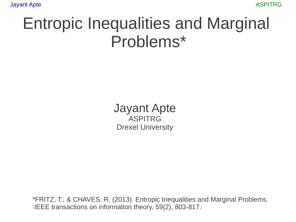#### Entropic Inequalities and Marginal Problems\*

Jayant Apte ASPITRG Drexel University

\*FRITZ, T., & CHAVES, R. (2013). Entropic Inequalities and Marginal Problems. IEEE transactions on information theory, 59(2), 803-817.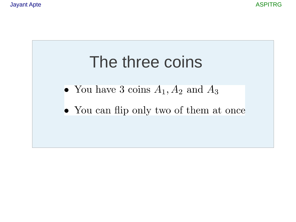

- You have 3 coins  $A_1, A_2$  and  $A_3$
- You can flip only two of them at once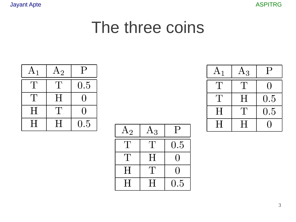**Jayant Apte** 



#### The three coins

| $\rm A_1$                 | $\mathrm{A}_2$       | $\mathsf{P}$ |
|---------------------------|----------------------|--------------|
| $^{\prime}$ $\Gamma$      | $\mathbf{L}$         | 0.5          |
| $^{\prime}$ $\Gamma$      | H                    | U            |
| $\boldsymbol{\mathrm{H}}$ | $^{\prime}$ $\Gamma$ | H            |
| $\mathbf H$               | H                    | 0.5          |

| $\rm A_2$            | $\rm A_3$            | $\mathsf{P}$ |
|----------------------|----------------------|--------------|
| $\mathbf{L}$         | $\mathbf{I}$         | 0.5          |
| $^{\prime}$ $\Gamma$ | H                    |              |
| H                    | $^{\prime}$ $\Gamma$ |              |
| H                    | H                    | 0.5          |

| $\rm A_1$            | $\rm A_3$     | $\mathsf P$ |
|----------------------|---------------|-------------|
| $^{\prime}$ $\Gamma$ | $\mathbf{T}$  |             |
| $^{\prime}$ $\Gamma$ | Η             | 0.5         |
| H                    | $^{\prime}$ 1 | 0.5         |
| H                    | H             |             |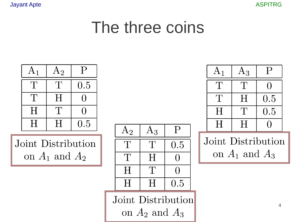

#### The three coins



Joint Distribution on  $A_1$  and  $A_2$ 

| $\mathrm{A}_2$       | $\rm A_3$            |     |
|----------------------|----------------------|-----|
| $^{\prime}$ $\Gamma$ | $^{\prime}$ $\Gamma$ | 0.5 |
| $\mathbf{L}$         | Η                    |     |
| H                    | $^{\prime}$ $\Gamma$ |     |
| H                    | H                    | 0.5 |

Joint Distribution on  $A_2$  and  $A_3$ 

| $A_1$        | $\rm A_3$            | $\dot{\mathsf{P}}$ |
|--------------|----------------------|--------------------|
| $\mathbf{L}$ | $^{\prime}$ .        |                    |
| ′ ∐          | H                    | 0.5                |
| Η            | $^{\prime}$ $\Gamma$ | 0.5                |
| H            | H                    |                    |

Joint Distribution on  $A_1$  and  $A_3$ 

 $\overline{4}$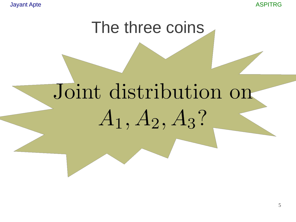**Jayant Apte** 

**ASPITRG** 

#### The three coins

# Joint distribution on  $A_1, A_2, A_3?$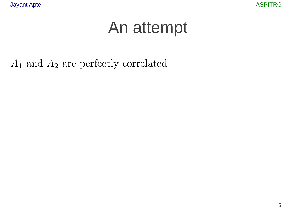$A_1$  and  $A_2$  are perfectly correlated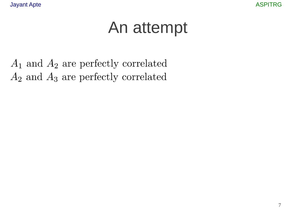$A_1$  and  $A_2$  are perfectly correlated  $A_2$  and  $A_3$  are perfectly correlated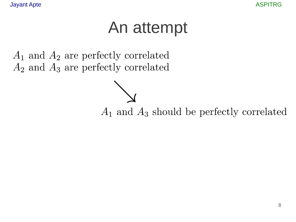$A_1$  and  $A_2$  are perfectly correlated  $A_2$  and  $A_3$  are perfectly correlated

 $A_1$  and  $A_3$  should be perfectly correlated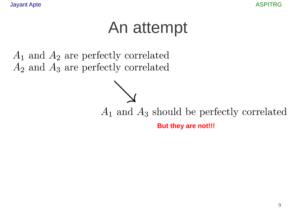$A_1$  and  $A_2$  are perfectly correlated  $A_2$  and  $A_3$  are perfectly correlated

 $A_1$  and  $A_3$  should be perfectly correlated

But they are not!!!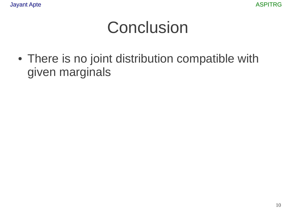#### Conclusion

• There is no joint distribution compatible with given marginals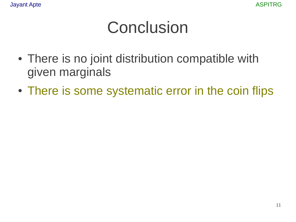#### **Conclusion**

- There is no joint distribution compatible with given marginals
- There is some systematic error in the coin flips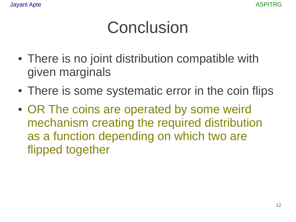## Conclusion

- There is no joint distribution compatible with given marginals
- There is some systematic error in the coin flips
- OR The coins are operated by some weird mechanism creating the required distribution as a function depending on which two are flipped together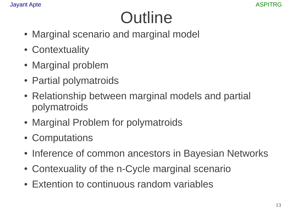## **Outline**

- Marginal scenario and marginal model
- Contextuality
- Marginal problem
- Partial polymatroids
- Relationship between marginal models and partial polymatroids
- Marginal Problem for polymatroids
- Computations
- Inference of common ancestors in Bayesian Networks
- Contexuality of the n-Cycle marginal scenario
- Extention to continuous random variables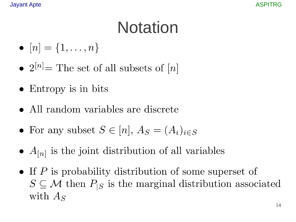## **Notation**

- $[n] = \{1, \ldots, n\}$
- $2^{[n]}$  = The set of all subsets of [n]
- $\bullet$  Entropy is in bits
- All random variables are discrete
- For any subset  $S \in [n]$ ,  $A_S = (A_i)_{i \in S}$
- $A_{[n]}$  is the joint distribution of all variables
- If  $P$  is probability distribution of some superset of  $S \subseteq \mathcal{M}$  then  $P_{|S}$  is the marginal distribution associated with  $A_S$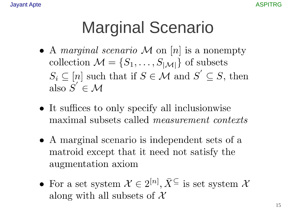### **Marginal Scenario**

- A *marginal scenario* M on [n] is a nonempty collection  $\mathcal{M} = \{S_1, \ldots, S_{|\mathcal{M}|}\}\$ of subsets  $S_i \subseteq [n]$  such that if  $S \in \mathcal{M}$  and  $S' \subseteq S$ , then also  $S' \in \mathcal{M}$
- It suffices to only specify all inclusionwise maximal subsets called *measurement contexts*
- A marginal scenario is independent sets of a matroid except that it need not satisfy the augmentation axiom
- For a set system  $\mathcal{X} \in 2^{[n]}$ ,  $\bar{X}^{\subseteq}$  is set system  $\mathcal{X}$ along with all subsets of  $\mathcal X$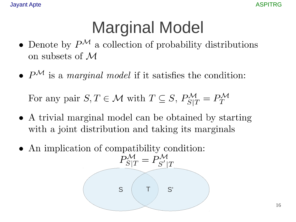## **Marginal Model**

- Denote by  $P^{\mathcal{M}}$  a collection of probability distributions on subsets of  $\mathcal M$
- $P^{\mathcal{M}}$  is a marginal model if it satisfies the condition:

For any pair  $S, T \in \mathcal{M}$  with  $T \subseteq S, P_{S|T}^{\mathcal{M}} = P_{T}^{\mathcal{M}}$ 

- A trivial marginal model can be obtained by starting with a joint distribution and taking its marginals
- An implication of compatibility condition:

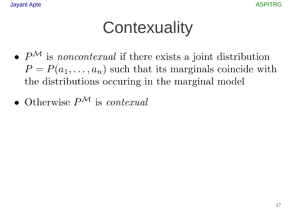## **Contexuality**

- $P^{\mathcal{M}}$  is *noncontexual* if there exists a joint distribution  $P = P(a_1, \ldots, a_n)$  such that its marginals coincide with the distributions occuring in the marginal model
- Otherwise  $P^{\mathcal{M}}$  is contexual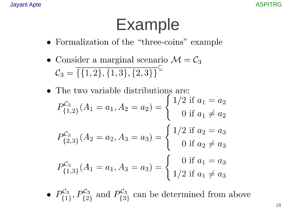#### **Example**

- Formalization of the "three-coins" example
- Consider a marginal scenario  $\mathcal{M} = \mathcal{C}_3$  $C_3 = \overline{\{\{1,2\},\{1,3\},\{2,3\}\}}^{\subseteq}$
- The two variable distributions are:  $P_{\{1,2\}}^{\mathcal{C}_3}(A_1=a_1, A_2=a_2)=\begin{cases} 1/2 \text{ if } a_1=a_2 \\ 0 \text{ if } a_1\neq a_2 \end{cases}$  $P_{\{2,3\}}^{\mathcal{C}_3}(A_2 = a_2, A_3 = a_3) = \begin{cases} 1/2 & \text{if } a_2 = a_3 \\ 0 & \text{if } a_2 \neq a_3 \end{cases}$  $P_{\{1,3\}}^{\mathcal{C}_3}(A_1=a_1, A_3=a_3)=\begin{cases} 0 \text{ if } a_1=a_3 \\ 1/2 \text{ if } a_1 \neq a_3 \end{cases}$
- $P_{\{1\}}^{\mathcal{C}_3}$ ,  $P_{\{2\}}^{\mathcal{C}_3}$  and  $P_{\{3\}}^{\mathcal{C}_3}$  can be determined from above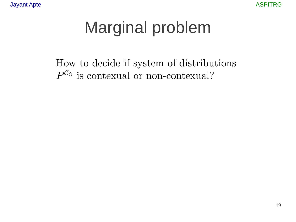# **Marginal problem**

How to decide if system of distributions  $P^{C_3}$  is contexual or non-contexual?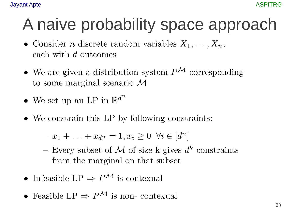## A naive probability space approach

- Consider *n* discrete random variables  $X_1, \ldots, X_n$ , each with d outcomes
- We are given a distribution system  $P^{\mathcal{M}}$  corresponding to some marginal scenario  $\mathcal M$
- We set up an LP in  $\mathbb{R}^{d^n}$
- We constrain this LP by following constraints:

 $- x_1 + \ldots + x_{d^n} = 1, x_i \geq 0 \ \forall i \in [d^n]$ 

- Every subset of M of size k gives  $d^k$  constraints from the marginal on that subset
- Infeasible LP  $\Rightarrow$  P<sup>M</sup> is contexual
- Feasible LP  $\Rightarrow$  P<sup>M</sup> is non-contexual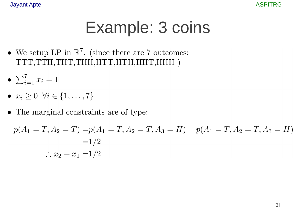#### **Example: 3 coins**

- We setup LP in  $\mathbb{R}^7$ . (since there are 7 outcomes: TTT, TTH, THT, THH, HTT, HTH, HHT, HHH )
- $\bullet \sum_{i=1}^{7} x_i = 1$
- $x_i \geq 0 \ \forall i \in \{1, ..., 7\}$
- The marginal constraints are of type:

$$
p(A_1 = T, A_2 = T) = p(A_1 = T, A_2 = T, A_3 = H) + p(A_1 = T, A_2 = T, A_3 = H)
$$
  
= 1/2  
 $\therefore x_2 + x_1 = 1/2$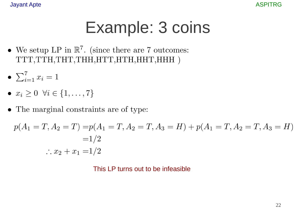## Example: 3 coins

- We setup LP in  $\mathbb{R}^7$ . (since there are 7 outcomes: TTT, TTH, THT, THH, HTT, HTH, HHT, HHH )
- $\bullet \sum_{i=1}^{7} x_i = 1$
- $x_i \geq 0 \ \forall i \in \{1, \ldots, 7\}$
- $\bullet~$  The marginal constraints are of type:

$$
p(A_1 = T, A_2 = T) = p(A_1 = T, A_2 = T, A_3 = H) + p(A_1 = T, A_2 = T, A_3 = H)
$$
  
= 1/2  
 $\therefore x_2 + x_1 = 1/2$ 

This LP turns out to be infeasible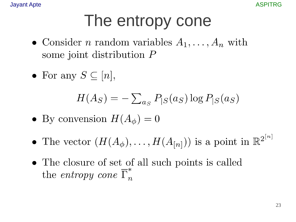**Jayant Apte** 

# The entropy cone

- Consider *n* random variables  $A_1, \ldots, A_n$  with some joint distribution  $P$
- For any  $S \subseteq [n],$

$$
H(A_S) = -\sum_{a_S} P_{|S}(a_S) \log P_{|S}(a_S)
$$

- By convension  $H(A_{\phi})=0$
- The vector  $(H(A_{\phi}),...,H(A_{[n]}))$  is a point in  $\mathbb{R}^{2^{[n]}}$
- The closure of set of all such points is called the entropy cone  $\overline{\Gamma}_n^*$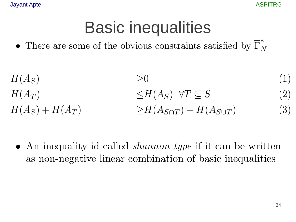**ASPITRG** 

#### **Basic inequalities**

• There are some of the obvious constraints satisfied by  $\overline{\Gamma}_{N}^{*}$ 

$$
H(A_S) \geq 0
$$
(1)  
\n
$$
H(A_T) \leq H(A_S) \quad \forall T \subseteq S
$$
(2)  
\n
$$
H(A_S) + H(A_T) \geq H(A_{S \cap T}) + H(A_{S \cup T})
$$
(3)

• An inequality id called *shannon type* if it can be written as non-negative linear combination of basic inequalities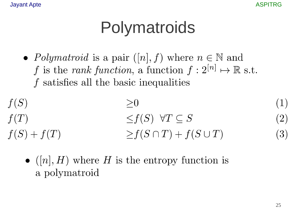## Polymatroids

• *Polymatroid* is a pair  $([n], f)$  where  $n \in \mathbb{N}$  and f is the rank function, a function  $f: 2^{[n]} \mapsto \mathbb{R}$  s.t. f satisfies all the basic inequalities

$$
f(S)
$$
  
\n
$$
f(T)
$$
  
\n
$$
f(S) + f(T)
$$
  
\n
$$
\geq f(S) \quad \forall T \subseteq S
$$
  
\n
$$
\geq f(S \cap T) + f(S \cup T)
$$

 $\bullet$  ([n], H) where H is the entropy function is a polymatroid

 $(1)$ 

 $(2)$ 

 $(3)$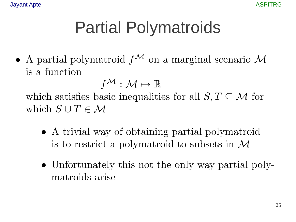# **Partial Polymatroids**

• A partial polymatroid  $f^{\mathcal{M}}$  on a marginal scenario M is a function

 $f^{\mathcal{M}}: \mathcal{M} \mapsto \mathbb{R}$ which satisfies basic inequalities for all  $S, T \subseteq \mathcal{M}$  for which  $S \cup T \in \mathcal{M}$ 

- A trivial way of obtaining partial polymatroid is to restrict a polymatroid to subsets in  $\mathcal M$
- Unfortunately this not the only way partial polymatroids arise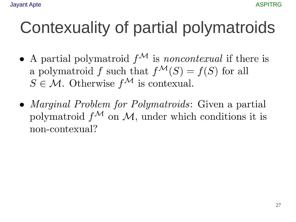# Contexuality of partial polymatroids

- A partial polymatroid  $f^{\mathcal{M}}$  is noncontexual if there is a polymatroid f such that  $f^{\mathcal{M}}(S) = f(S)$  for all  $S \in \mathcal{M}$ . Otherwise  $f^{\mathcal{M}}$  is contexual.
- *Marginal Problem for Polymatroids*: Given a partial polymatroid  $f^{\mathcal{M}}$  on  $\mathcal{M}$ , under which conditions it is non-contexual?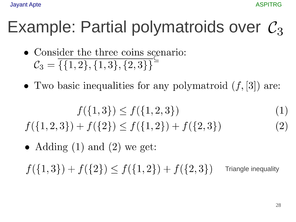## Example: Partial polymatroids over  $C_3$

- Consider the three coins scenario:  $\mathcal{C}_3 = \overline{\{\{1,2\},\{1,3\},\{2,3\}\}}$
- Two basic inequalities for any polymatroid  $(f, [3])$  are:

$$
f(\{1,3\}) \le f(\{1,2,3\})\tag{1}
$$

 $f({1,2,3}) + f({2}) \le f({1,2}) + f({2,3})$ 

• Adding  $(1)$  and  $(2)$  we get:

 $f({1,3}) + f({2}) \le f({1,2}) + f({2,3})$ **Triangle inequality** 

 $(2)$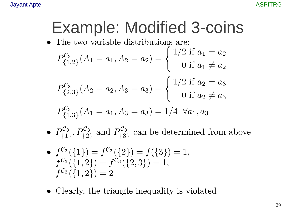## **Example: Modified 3-coins**

 $\bullet\,$  The two variable distributions are:

$$
P_{\{1,2\}}^{C_3}(A_1 = a_1, A_2 = a_2) = \begin{cases} 1/2 \text{ if } a_1 = a_2 \\ 0 \text{ if } a_1 \neq a_2 \end{cases}
$$

$$
P_{\{2,3\}}^{C_3}(A_2 = a_2, A_3 = a_3) = \begin{cases} 1/2 \text{ if } a_2 = a_3 \\ 0 \text{ if } a_2 \neq a_3 \end{cases}
$$

$$
P_{\{1,3\}}^{C_3}(A_1 = a_1, A_3 = a_3) = 1/4 \ \forall a_1, a_3
$$

- $P_{\{1\}}^{C_3}$ ,  $P_{\{2\}}^{C_3}$  and  $P_{\{3\}}^{C_3}$  can be determined from above
- $f^{\mathcal{C}_3}(\{1\}) = f^{\mathcal{C}_3}(\{2\}) = f(\{3\}) = 1,$  $f^{\mathcal{C}_3}(\{1,2\}) = f^{\mathcal{C}_3}(\{2,3\}) = 1,$  $f^{\mathcal{C}_3}(\{1,2\})=2$
- Clearly, the triangle inequality is violated